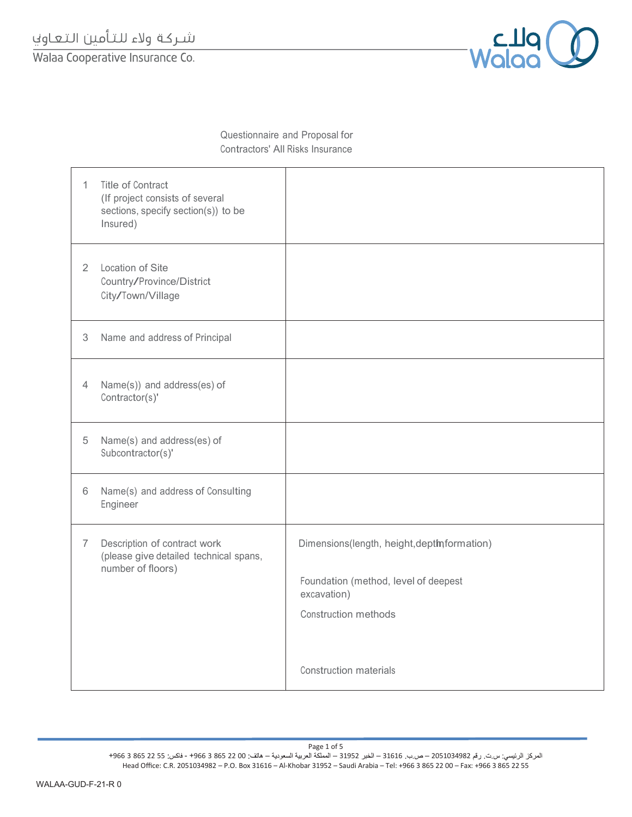شـركة ولاء للتأمين التعـاوني

Walaa Cooperative Insurance Co.



Questionnaire and Proposal for Contractors' All Risks Insurance

| 1                         | <b>Title of Contract</b><br>(If project consists of several<br>sections, specify section(s)) to be<br>Insured) |                                                                                                                                                             |
|---------------------------|----------------------------------------------------------------------------------------------------------------|-------------------------------------------------------------------------------------------------------------------------------------------------------------|
| $\overline{2}$            | Location of Site<br>Country/Province/District<br>City/Town/Village                                             |                                                                                                                                                             |
| $\ensuremath{\mathbf{3}}$ | Name and address of Principal                                                                                  |                                                                                                                                                             |
| $\overline{4}$            | Name(s)) and address(es) of<br>Contractor(s)'                                                                  |                                                                                                                                                             |
| 5                         | Name(s) and address(es) of<br>Subcontractor(s)'                                                                |                                                                                                                                                             |
| 6                         | Name(s) and address of Consulting<br>Engineer                                                                  |                                                                                                                                                             |
| $\overline{7}$            | Description of contract work<br>(please give detailed technical spans,<br>number of floors)                    | Dimensions(length, height, deptinformation)<br>Foundation (method, level of deepest<br>excavation)<br><b>Construction methods</b><br>Construction materials |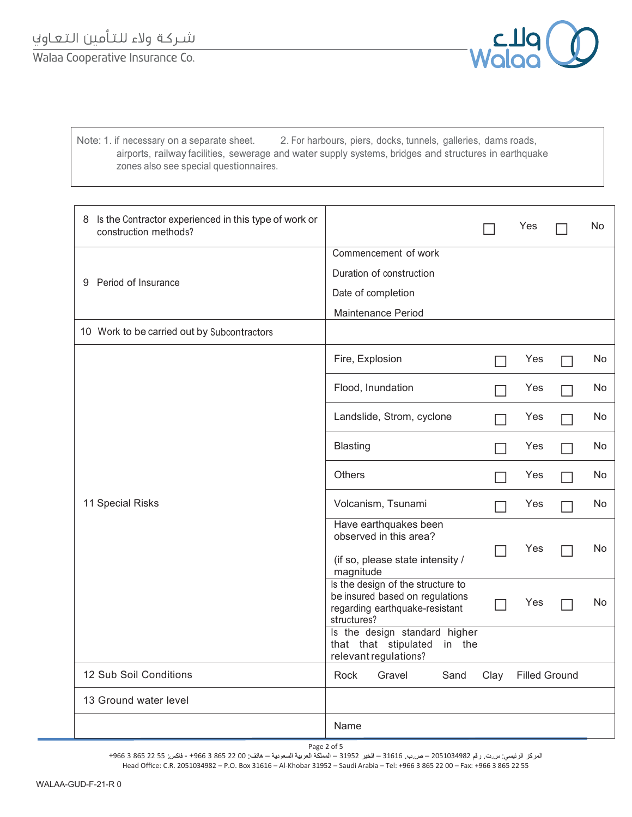Walaa Cooperative Insurance Co.



Note: 1. if necessary on a separate sheet. 2. For harbours, piers, docks, tunnels, galleries, dams roads, airports, railway facilities, sewerage and water supply systems, bridges and structures in earthquake zones also see special questionnaires.

| 8 Is the Contractor experienced in this type of work or<br>construction methods? |                                                                                                                       |      | Yes                  | N <sub>0</sub> |
|----------------------------------------------------------------------------------|-----------------------------------------------------------------------------------------------------------------------|------|----------------------|----------------|
|                                                                                  | Commencement of work<br>Duration of construction                                                                      |      |                      |                |
| Period of Insurance<br>9                                                         | Date of completion                                                                                                    |      |                      |                |
|                                                                                  | Maintenance Period                                                                                                    |      |                      |                |
| 10 Work to be carried out by Subcontractors                                      |                                                                                                                       |      |                      |                |
|                                                                                  | Fire, Explosion                                                                                                       |      | Yes                  | No             |
|                                                                                  | Flood, Inundation                                                                                                     |      | Yes                  | No             |
|                                                                                  | Landslide, Strom, cyclone                                                                                             |      | Yes                  | No.            |
|                                                                                  | <b>Blasting</b>                                                                                                       |      | Yes                  | No.            |
|                                                                                  | <b>Others</b>                                                                                                         |      | Yes                  | No.            |
| 11 Special Risks                                                                 | Volcanism, Tsunami                                                                                                    |      | Yes                  | No.            |
|                                                                                  | Have earthquakes been<br>observed in this area?<br>(if so, please state intensity /<br>magnitude                      |      | Yes                  | No.            |
|                                                                                  | Is the design of the structure to<br>be insured based on regulations<br>regarding earthquake-resistant<br>structures? |      | Yes                  | No.            |
|                                                                                  | Is the design standard higher<br>that that stipulated<br>in the<br>relevant regulations?                              |      |                      |                |
| 12 Sub Soil Conditions                                                           | Rock<br>Gravel<br>Sand                                                                                                | Clay | <b>Filled Ground</b> |                |
| 13 Ground water level                                                            |                                                                                                                       |      |                      |                |
|                                                                                  | Name                                                                                                                  |      |                      |                |

المركز الرئيسي: س.ت. رقم 2051034982 — ص.ب. 31616 — الخبر 1952 — المملكة العربية السعودية — هاتف: 00 22 865 3 466 + - فاكس: 25 22 865 3 4966 + Head Office: C.R. 2051034982 – P.O. Box 31616 – Al-Khobar 31952 – Saudi Arabia – Tel: +966 3 865 22 00 – Fax: +966 3 865 22 55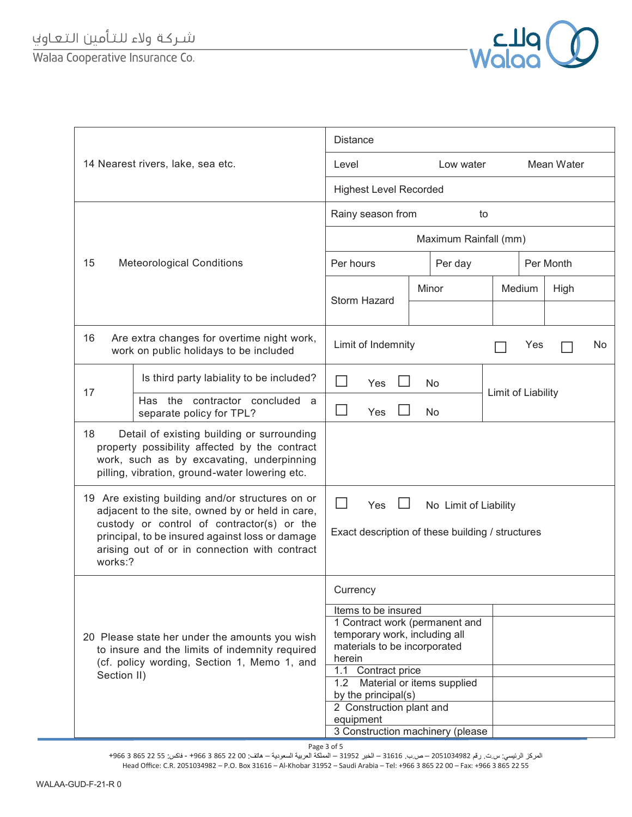## شـركة ولاء للتأمين التعـاوني

Walaa Cooperative Insurance Co.



|                                                                                                                                                                |                                                                                                                                                                                                                                                       | <b>Distance</b>                                                                                                                                                                                                                                                               |                            |                    |           |      |  |
|----------------------------------------------------------------------------------------------------------------------------------------------------------------|-------------------------------------------------------------------------------------------------------------------------------------------------------------------------------------------------------------------------------------------------------|-------------------------------------------------------------------------------------------------------------------------------------------------------------------------------------------------------------------------------------------------------------------------------|----------------------------|--------------------|-----------|------|--|
| 14 Nearest rivers, lake, sea etc.                                                                                                                              |                                                                                                                                                                                                                                                       | Mean Water<br>Level<br>Low water                                                                                                                                                                                                                                              |                            |                    |           |      |  |
|                                                                                                                                                                |                                                                                                                                                                                                                                                       | <b>Highest Level Recorded</b>                                                                                                                                                                                                                                                 |                            |                    |           |      |  |
|                                                                                                                                                                |                                                                                                                                                                                                                                                       | Rainy season from<br>to                                                                                                                                                                                                                                                       |                            |                    |           |      |  |
|                                                                                                                                                                |                                                                                                                                                                                                                                                       |                                                                                                                                                                                                                                                                               | Maximum Rainfall (mm)      |                    |           |      |  |
| 15<br><b>Meteorological Conditions</b>                                                                                                                         |                                                                                                                                                                                                                                                       | Per hours<br>Per day                                                                                                                                                                                                                                                          |                            |                    | Per Month |      |  |
|                                                                                                                                                                |                                                                                                                                                                                                                                                       |                                                                                                                                                                                                                                                                               | Minor                      |                    | Medium    | High |  |
|                                                                                                                                                                |                                                                                                                                                                                                                                                       | Storm Hazard                                                                                                                                                                                                                                                                  |                            |                    |           |      |  |
| 16                                                                                                                                                             | Are extra changes for overtime night work,<br>work on public holidays to be included                                                                                                                                                                  | Limit of Indemnity                                                                                                                                                                                                                                                            | Yes                        |                    |           | No   |  |
|                                                                                                                                                                | Is third party labiality to be included?                                                                                                                                                                                                              | Yes                                                                                                                                                                                                                                                                           | No                         |                    |           |      |  |
| 17                                                                                                                                                             | Has the contractor concluded<br>a<br>separate policy for TPL?                                                                                                                                                                                         | Yes                                                                                                                                                                                                                                                                           | No                         | Limit of Liability |           |      |  |
| 18                                                                                                                                                             | Detail of existing building or surrounding<br>property possibility affected by the contract<br>work, such as by excavating, underpinning<br>pilling, vibration, ground-water lowering etc.                                                            |                                                                                                                                                                                                                                                                               |                            |                    |           |      |  |
| works:?                                                                                                                                                        | 19 Are existing building and/or structures on or<br>adjacent to the site, owned by or held in care,<br>custody or control of contractor(s) or the<br>principal, to be insured against loss or damage<br>arising out of or in connection with contract | Yes<br>No Limit of Liability<br>Exact description of these building / structures                                                                                                                                                                                              |                            |                    |           |      |  |
| 20 Please state her under the amounts you wish<br>to insure and the limits of indemnity required<br>(cf. policy wording, Section 1, Memo 1, and<br>Section II) |                                                                                                                                                                                                                                                       | Currency<br>Items to be insured<br>1 Contract work (permanent and<br>temporary work, including all<br>materials to be incorporated<br>herein<br>1.1 Contract price<br>1.2<br>by the principal(s)<br>2 Construction plant and<br>equipment<br>3 Construction machinery (please | Material or items supplied |                    |           |      |  |

Page 3 of 5

المركز الرئيسي: س.ت. رقم 2051034982 – ص.ب. 31616 – الخبر 31952 – المملكة العربية السعودية – هاتف: 00 22 865 3 466 + - فاكس: 25 22 865 3 4966 + Head Office: C.R. 2051034982 – P.O. Box 31616 – Al-Khobar 31952 – Saudi Arabia – Tel: +966 3 865 22 00 – Fax: +966 3 865 22 55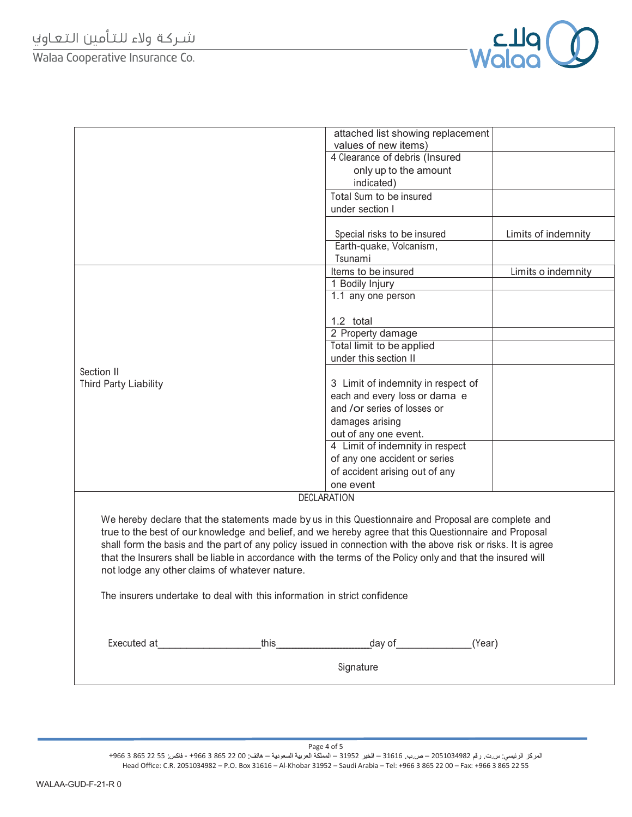Walaa Cooperative Insurance Co.



|                                                                                                                                                                                                                                                                                                                                                                                                                                                                                                   | attached list showing replacement<br>values of new items)                 |                     |  |  |  |
|---------------------------------------------------------------------------------------------------------------------------------------------------------------------------------------------------------------------------------------------------------------------------------------------------------------------------------------------------------------------------------------------------------------------------------------------------------------------------------------------------|---------------------------------------------------------------------------|---------------------|--|--|--|
|                                                                                                                                                                                                                                                                                                                                                                                                                                                                                                   | 4 Clearance of debris (Insured                                            |                     |  |  |  |
|                                                                                                                                                                                                                                                                                                                                                                                                                                                                                                   | only up to the amount                                                     |                     |  |  |  |
|                                                                                                                                                                                                                                                                                                                                                                                                                                                                                                   | indicated)                                                                |                     |  |  |  |
|                                                                                                                                                                                                                                                                                                                                                                                                                                                                                                   | Total Sum to be insured                                                   |                     |  |  |  |
|                                                                                                                                                                                                                                                                                                                                                                                                                                                                                                   | under section I                                                           |                     |  |  |  |
|                                                                                                                                                                                                                                                                                                                                                                                                                                                                                                   |                                                                           |                     |  |  |  |
|                                                                                                                                                                                                                                                                                                                                                                                                                                                                                                   | Special risks to be insured                                               | Limits of indemnity |  |  |  |
|                                                                                                                                                                                                                                                                                                                                                                                                                                                                                                   | Earth-quake, Volcanism,                                                   |                     |  |  |  |
|                                                                                                                                                                                                                                                                                                                                                                                                                                                                                                   | Tsunami                                                                   |                     |  |  |  |
|                                                                                                                                                                                                                                                                                                                                                                                                                                                                                                   | Items to be insured                                                       | Limits o indemnity  |  |  |  |
|                                                                                                                                                                                                                                                                                                                                                                                                                                                                                                   | 1 Bodily Injury                                                           |                     |  |  |  |
|                                                                                                                                                                                                                                                                                                                                                                                                                                                                                                   | 1.1 any one person                                                        |                     |  |  |  |
|                                                                                                                                                                                                                                                                                                                                                                                                                                                                                                   |                                                                           |                     |  |  |  |
|                                                                                                                                                                                                                                                                                                                                                                                                                                                                                                   | 1.2 total                                                                 |                     |  |  |  |
|                                                                                                                                                                                                                                                                                                                                                                                                                                                                                                   | 2 Property damage                                                         |                     |  |  |  |
|                                                                                                                                                                                                                                                                                                                                                                                                                                                                                                   | Total limit to be applied                                                 |                     |  |  |  |
|                                                                                                                                                                                                                                                                                                                                                                                                                                                                                                   | under this section II                                                     |                     |  |  |  |
| Section II                                                                                                                                                                                                                                                                                                                                                                                                                                                                                        |                                                                           |                     |  |  |  |
| Third Party Liability                                                                                                                                                                                                                                                                                                                                                                                                                                                                             | 3 Limit of indemnity in respect of                                        |                     |  |  |  |
|                                                                                                                                                                                                                                                                                                                                                                                                                                                                                                   | each and every loss or dama e                                             |                     |  |  |  |
|                                                                                                                                                                                                                                                                                                                                                                                                                                                                                                   | and /or series of losses or                                               |                     |  |  |  |
|                                                                                                                                                                                                                                                                                                                                                                                                                                                                                                   | damages arising                                                           |                     |  |  |  |
|                                                                                                                                                                                                                                                                                                                                                                                                                                                                                                   | out of any one event.                                                     |                     |  |  |  |
|                                                                                                                                                                                                                                                                                                                                                                                                                                                                                                   | 4 Limit of indemnity in respect                                           |                     |  |  |  |
|                                                                                                                                                                                                                                                                                                                                                                                                                                                                                                   | of any one accident or series                                             |                     |  |  |  |
|                                                                                                                                                                                                                                                                                                                                                                                                                                                                                                   | of accident arising out of any                                            |                     |  |  |  |
|                                                                                                                                                                                                                                                                                                                                                                                                                                                                                                   | one event                                                                 |                     |  |  |  |
|                                                                                                                                                                                                                                                                                                                                                                                                                                                                                                   | <b>DECLARATION</b>                                                        |                     |  |  |  |
| We hereby declare that the statements made by us in this Questionnaire and Proposal are complete and<br>true to the best of our knowledge and belief, and we hereby agree that this Questionnaire and Proposal<br>shall form the basis and the part of any policy issued in connection with the above risk or risks. It is agree<br>that the Insurers shall be liable in accordance with the terms of the Policy only and that the insured will<br>not lodge any other claims of whatever nature. |                                                                           |                     |  |  |  |
|                                                                                                                                                                                                                                                                                                                                                                                                                                                                                                   | The insurers undertake to deal with this information in strict confidence |                     |  |  |  |
|                                                                                                                                                                                                                                                                                                                                                                                                                                                                                                   |                                                                           |                     |  |  |  |
|                                                                                                                                                                                                                                                                                                                                                                                                                                                                                                   |                                                                           |                     |  |  |  |
|                                                                                                                                                                                                                                                                                                                                                                                                                                                                                                   | Signature                                                                 |                     |  |  |  |